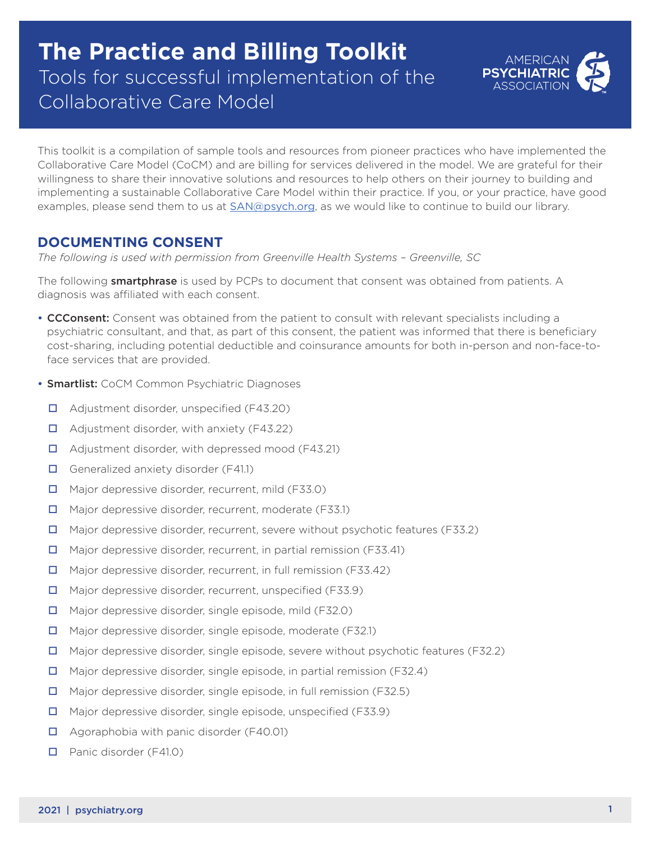# **The Practice and Billing Toolkit**  Tools for successful implementation of the Collaborative Care Model



This toolkit is a compilation of sample tools and resources from pioneer practices who have implemented the Collaborative Care Model (CoCM) and are billing for services delivered in the model. We are grateful for their willingness to share their innovative solutions and resources to help others on their journey to building and implementing a sustainable Collaborative Care Model within their practice. If you, or your practice, have good examples, please send them to us at  $SAN@psych.org$ , as we would like to continue to build our library.

### **DOCUMENTING CONSENT**

*The following is used with permission from Greenville Health Systems – Greenville, SC* 

The following **smartphrase** is used by PCPs to document that consent was obtained from patients. A diagnosis was affiliated with each consent.

- CCConsent: Consent was obtained from the patient to consult with relevant specialists including a psychiatric consultant, and that, as part of this consent, the patient was informed that there is beneficiary cost-sharing, including potential deductible and coinsurance amounts for both in-person and non-face-toface services that are provided.
- Smartlist: CoCM Common Psychiatric Diagnoses
	- □ Adjustment disorder, unspecified (F43.20)
	- $\Box$  Adjustment disorder, with anxiety (F43.22)
	- $\Box$  Adjustment disorder, with depressed mood (F43.21)
	- Generalized anxiety disorder  $(F41.1)$
	- □ Major depressive disorder, recurrent, mild (F33.0)
	- □ Major depressive disorder, recurrent, moderate (F33.1)
	- $\Box$  Major depressive disorder, recurrent, severe without psychotic features (F33.2)
	- $\Box$  Major depressive disorder, recurrent, in partial remission (F33.41)
	- □ Major depressive disorder, recurrent, in full remission (F33.42)
	- □ Major depressive disorder, recurrent, unspecified (F33.9)
	- $\Box$  Major depressive disorder, single episode, mild (F32.0)
	- Major depressive disorder, single episode, moderate (F32.1)
	- $\Box$  Major depressive disorder, single episode, severe without psychotic features (F32.2)
	- Major depressive disorder, single episode, in partial remission (F32.4)
	- Major depressive disorder, single episode, in full remission (F32.5)
	- $\Box$  Major depressive disorder, single episode, unspecified (F33.9)
	- □ Agoraphobia with panic disorder (F40.01)
	- **D** Panic disorder (F41.0)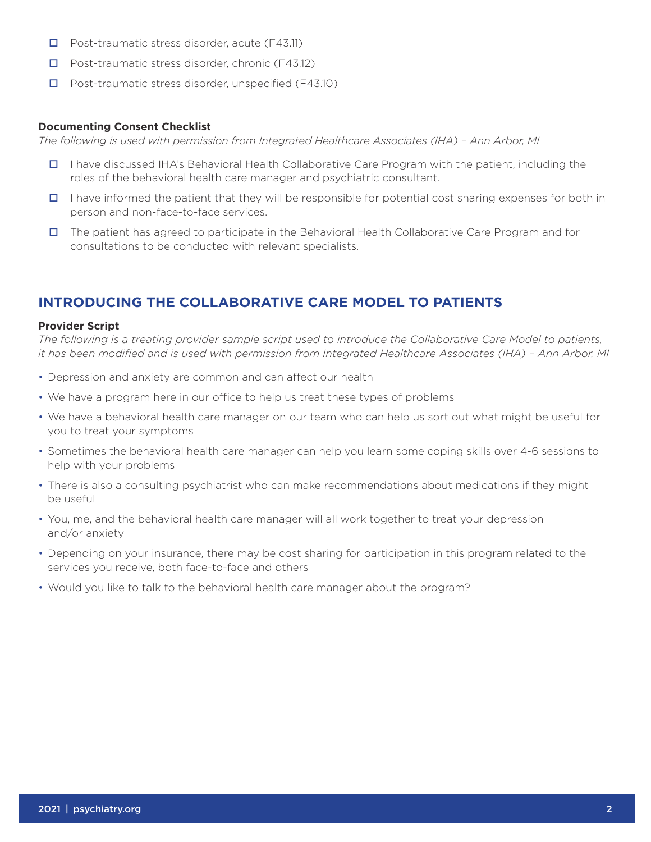- $\Box$  Post-traumatic stress disorder, acute (F43.11)
- $\Box$  Post-traumatic stress disorder, chronic (F43.12)
- $\Box$  Post-traumatic stress disorder, unspecified (F43.10)

#### **Documenting Consent Checklist**

*The following is used with permission from Integrated Healthcare Associates (IHA) – Ann Arbor, MI* 

- I have discussed IHA's Behavioral Health Collaborative Care Program with the patient, including the roles of the behavioral health care manager and psychiatric consultant.
- $\Box$  I have informed the patient that they will be responsible for potential cost sharing expenses for both in person and non-face-to-face services.
- The patient has agreed to participate in the Behavioral Health Collaborative Care Program and for consultations to be conducted with relevant specialists.

## **INTRODUCING THE COLLABORATIVE CARE MODEL TO PATIENTS**

#### **Provider Script**

*The following is a treating provider sample script used to introduce the Collaborative Care Model to patients, it has been modifed and is used with permission from Integrated Healthcare Associates (IHA) – Ann Arbor, MI* 

- Depression and anxiety are common and can affect our health
- We have a program here in our office to help us treat these types of problems
- We have a behavioral health care manager on our team who can help us sort out what might be useful for you to treat your symptoms
- Sometimes the behavioral health care manager can help you learn some coping skills over 4-6 sessions to help with your problems
- There is also a consulting psychiatrist who can make recommendations about medications if they might be useful
- You, me, and the behavioral health care manager will all work together to treat your depression and/or anxiety
- Depending on your insurance, there may be cost sharing for participation in this program related to the services you receive, both face-to-face and others
- Would you like to talk to the behavioral health care manager about the program?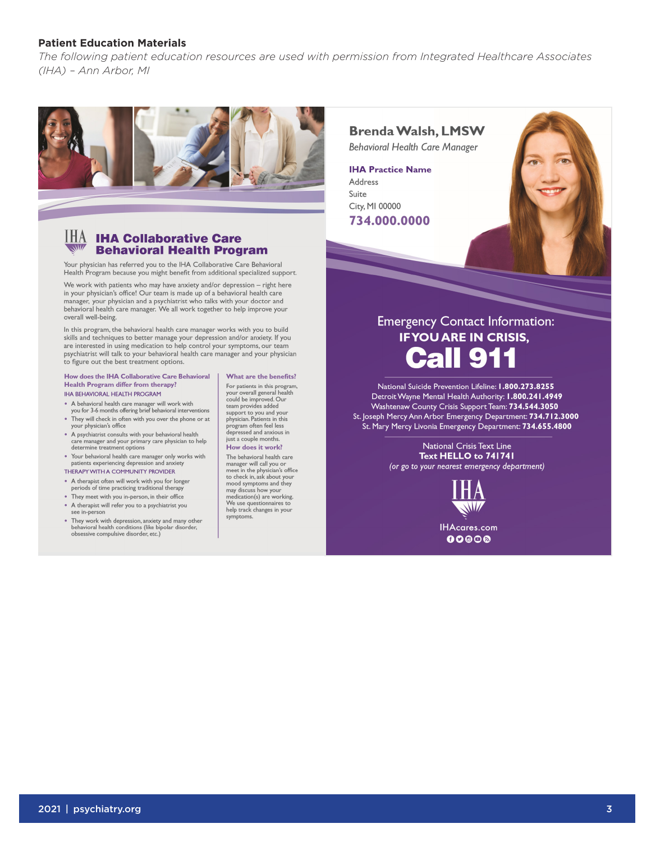#### **Patient Education Materials**

*The following patient education resources are used with permission from Integrated Healthcare Associates (IHA) – Ann Arbor, MI* 



#### $\underline{\mathsf{HA}}$  IHA Collaborative Care **Behavioral Health Program**

Your physician has referred you to the IHA Collaborative Care Behavioral Health Program because you might benefit from additional specialized support.

We work with patients who may have anxiety and/or depression  $-$  right here in your physician's office! Our team is made up of a behavioral health care<br>manager, your physician and a psychiatrist who talks with your doctor and behavioral health care manager. We all work together to help improve your overall well-being.

In this program, the behavioral health care manager works with you to build in the pressure, are contained to better manage your depression and/or anxiety. If you<br>are interested in using medication to help control your symptoms, our team psychiatrist will talk to your behavioral health care manager and your physician to figure out the best treatment options.

#### How does the IHA Collaborative Care Behavioral Health Program differ from therapy?

**IHA BEHAVIORAL HEALTH PROGRAM** 

- A behavioral health care manager will work with<br>you for 3-6 months offering brief behavioral interventions
- . They will check in often with you over the phone or at your physician's office
- A psychiatrist consults with your behavioral health<br>care manager and your primary care physician to help<br>determine treatment options
- Your behavioral health care manager only works with<br>patients experiencing depression and anxiety
- THERAPY WITH A COMMUNITY PROVIDER
- A therapist often will work with you for longer<br>periods of time practicing traditional therapy
- They meet with you in-person, in their office
- A therapist will refer you to a psychiatrist you
- see in-person • They work with depression, anxiety and many other<br>behavioral health conditions (like bipolar disorder,<br>obsessive compulsive disorder, etc.)

What are the benefits? For patients in this program,<br>your overall general health For patients in this program<br>your overall general healt<br>could be improved. Our<br>team provides added<br>support to you and your<br>physician. Patients in this priyon often feel less<br>depressed and anxious in just a couple months. How does it work?

The behavioral health care<br>manager will call you or<br>meet in the physician's office<br>to check in, ask about your<br>mood symptoms and they may discuss how your<br>medication(s) are working. medication(s) are working.<br>We use questionnaires to<br>help track changes in your<br>symptoms symptoms

## **Brenda Walsh, LMSW**

**Behavioral Health Care Manager** 

**IHA Practice Name** Address Suite City, MI 00000 734.000.0000



## **Emergency Contact Information: IF YOU ARE IN CRISIS, Call 911**

National Suicide Prevention Lifeline: 1.800.273.8255 Detroit Wayne Mental Health Authority: 1.800.241.4949 Washtenaw County Crisis Support Team: 734.544.3050 St. Joseph Mercy Ann Arbor Emergency Department: 734.712.3000 St. Mary Mercy Livonia Emergency Department: 734.655.4800

> **National Crisis Text Line** Text HELLO to 741741 (or go to your nearest emergency department)



**IHAcares.com**  $00@$ os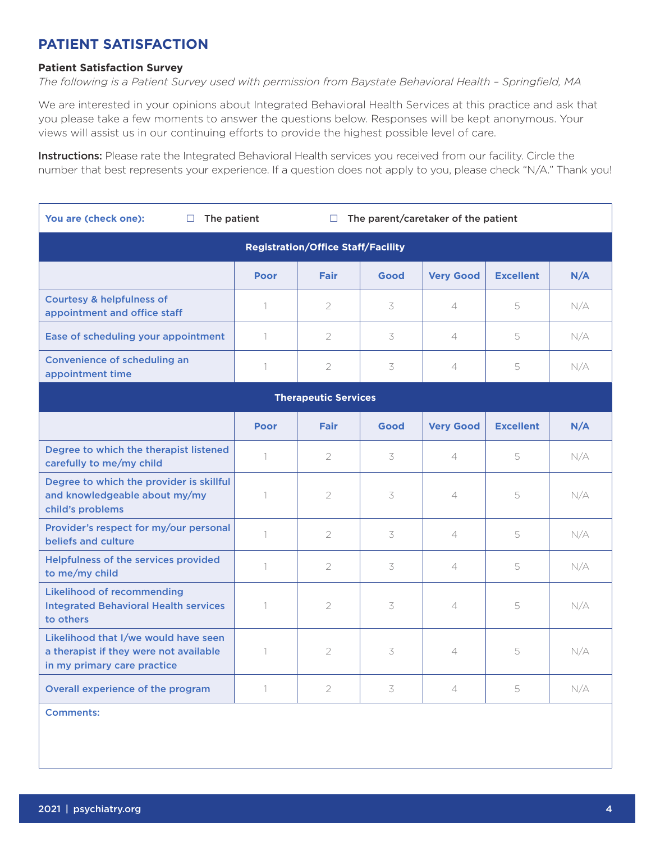## **PATIENT SATISFACTION**

#### **Patient Satisfaction Survey**

*The following is a Patient Survey used with permission from Baystate Behavioral Health – Springfeld, MA* 

We are interested in your opinions about Integrated Behavioral Health Services at this practice and ask that you please take a few moments to answer the questions below. Responses will be kept anonymous. Your views will assist us in our continuing efforts to provide the highest possible level of care.

Instructions: Please rate the Integrated Behavioral Health services you received from our facility. Circle the number that best represents your experience. If a question does not apply to you, please check "N/A." Thank you!

| You are (check one):<br>The patient<br>□                                                                      | The parent/caretaker of the patient<br>$\Box$ |                |      |                          |                  |     |
|---------------------------------------------------------------------------------------------------------------|-----------------------------------------------|----------------|------|--------------------------|------------------|-----|
| <b>Registration/Office Staff/Facility</b>                                                                     |                                               |                |      |                          |                  |     |
|                                                                                                               | <b>Poor</b>                                   | <b>Fair</b>    | Good | <b>Very Good</b>         | <b>Excellent</b> | N/A |
| <b>Courtesy &amp; helpfulness of</b><br>appointment and office staff                                          | $\mathbf{1}$                                  | 2              | 3    | $\overline{\mathcal{L}}$ | 5                | N/A |
| Ease of scheduling your appointment                                                                           | $\mathbb{1}$                                  | $\overline{2}$ | 3    | $\overline{\mathcal{L}}$ | 5                | N/A |
| Convenience of scheduling an<br>appointment time                                                              | $\mathbf{1}$                                  | $\mathbf{2}$   | 3    | $\overline{\mathcal{L}}$ | 5                | N/A |
| <b>Therapeutic Services</b>                                                                                   |                                               |                |      |                          |                  |     |
|                                                                                                               | <b>Poor</b>                                   | <b>Fair</b>    | Good | <b>Very Good</b>         | <b>Excellent</b> | N/A |
| Degree to which the therapist listened<br>carefully to me/my child                                            | 1                                             | 2              | 3    | $\overline{4}$           | 5                | N/A |
| Degree to which the provider is skillful<br>and knowledgeable about my/my<br>child's problems                 | 1                                             | $\overline{2}$ | 3    | 4                        | 5                | N/A |
| Provider's respect for my/our personal<br>beliefs and culture                                                 | 1                                             | $\overline{2}$ | 3    | $\overline{\mathcal{L}}$ | 5                | N/A |
| Helpfulness of the services provided<br>to me/my child                                                        | $\mathbf{1}$                                  | $\mathbf{2}$   | 3    | $\overline{4}$           | 5                | N/A |
| <b>Likelihood of recommending</b><br><b>Integrated Behavioral Health services</b><br>to others                | $\mathbf{1}$                                  | $\overline{2}$ | 3    | $\overline{4}$           | 5                | N/A |
| Likelihood that I/we would have seen<br>a therapist if they were not available<br>in my primary care practice | $\overline{\phantom{a}}$                      | $\overline{2}$ | 3    | $\overline{\mathcal{A}}$ | 5                | N/A |
| Overall experience of the program                                                                             | 1                                             | 2              | 3    | 4                        | 5                | N/A |

Comments: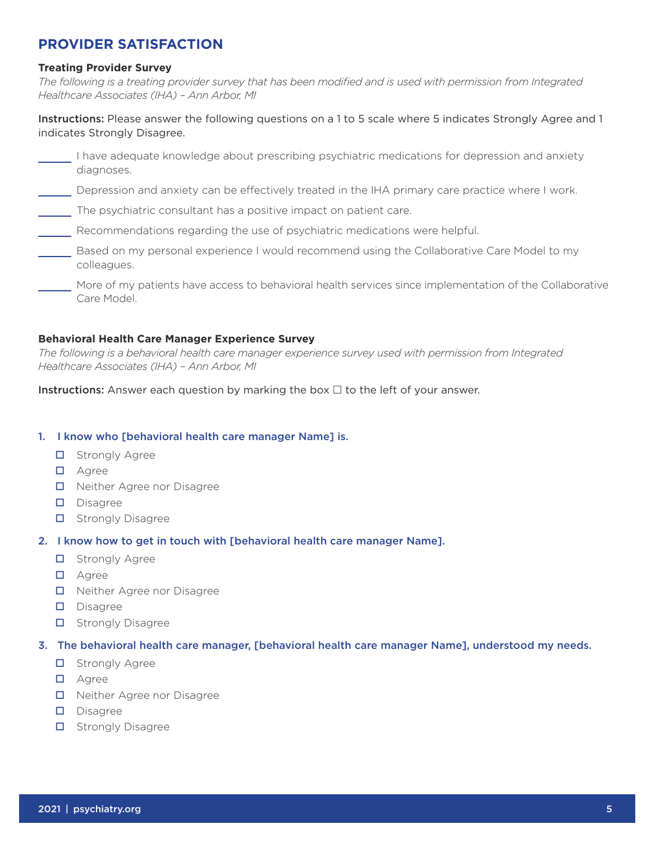### **PROVIDER SATISFACTION**

#### **Treating Provider Survey**

*The following is a treating provider survey that has been modifed and is used with permission from Integrated Healthcare Associates (IHA) – Ann Arbor, MI* 

Instructions: Please answer the following questions on a 1 to 5 scale where 5 indicates Strongly Agree and 1 indicates Strongly Disagree.

| have adequate knowledge about prescribing psychiatric medications for depression and anxiety<br>diagnoses.             |
|------------------------------------------------------------------------------------------------------------------------|
| Depression and anxiety can be effectively treated in the IHA primary care practice where I work.                       |
| The psychiatric consultant has a positive impact on patient care.                                                      |
| Recommendations regarding the use of psychiatric medications were helpful.                                             |
| Based on my personal experience I would recommend using the Collaborative Care Model to my<br>colleagues.              |
| More of my patients have access to behavioral health services since implementation of the Collaborative<br>Care Model. |

#### **Behavioral Health Care Manager Experience Survey**

*The following is a behavioral health care manager experience survey used with permission from Integrated Healthcare Associates (IHA) – Ann Arbor, MI* 

**Instructions:** Answer each question by marking the box  $\Box$  to the left of your answer.

#### 1. I know who [behavioral health care manager Name] is.

- **D** Strongly Agree
- **D** Agree
- □ Neither Agree nor Disagree
- Disagree
- $\Box$  Strongly Disagree

#### 2. I know how to get in touch with [behavioral health care manager Name].

- $\Box$  Strongly Agree
- **D** Agree
- □ Neither Agree nor Disagree
- $\square$  Disagree
- $\Box$  Strongly Disagree

#### 3. The behavioral health care manager, [behavioral health care manager Name], understood my needs.

- $\Box$  Strongly Agree
- **D** Agree
- □ Neither Agree nor Disagree
- Disagree
- $\Box$  Strongly Disagree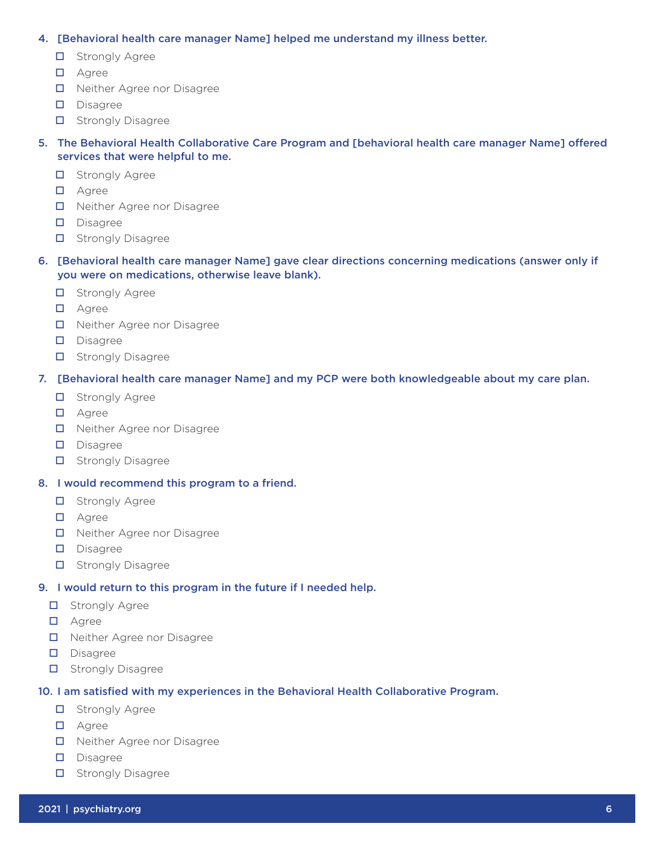#### 4. [Behavioral health care manager Name] helped me understand my illness better.

- $\Box$  Strongly Agree
- **D** Agree
- □ Neither Agree nor Disagree
- Disagree
- $\Box$  Strongly Disagree

#### 5. The Behavioral Health Collaborative Care Program and [behavioral health care manager Name] ofered services that were helpful to me.

- $\Box$  Strongly Agree
- **D** Agree
- □ Neither Agree nor Disagree
- Disagree
- $\Box$  Strongly Disagree
- 6. [Behavioral health care manager Name] gave clear directions concerning medications (answer only if you were on medications, otherwise leave blank).
	- $\Box$  Strongly Agree
	- **D** Agree
	- □ Neither Agree nor Disagree
	- Disagree
	- $\Box$  Strongly Disagree

#### 7. [Behavioral health care manager Name] and my PCP were both knowledgeable about my care plan.

- $\Box$  Strongly Agree
- **D** Agree
- □ Neither Agree nor Disagree
- Disagree
- $\Box$  Strongly Disagree
- 8. I would recommend this program to a friend.
	- **D** Strongly Agree
	- **D** Agree
	- □ Neither Agree nor Disagree
	- Disagree
	- $\Box$  Strongly Disagree

#### 9. I would return to this program in the future if I needed help.

- **D** Strongly Agree
- **D** Agree
- D Neither Agree nor Disagree
- Disagree
- $\Box$  Strongly Disagree

#### 10. I am satisfed with my experiences in the Behavioral Health Collaborative Program.

- **D** Strongly Agree
- **D** Agree
- □ Neither Agree nor Disagree
- Disagree
- $\Box$  Strongly Disagree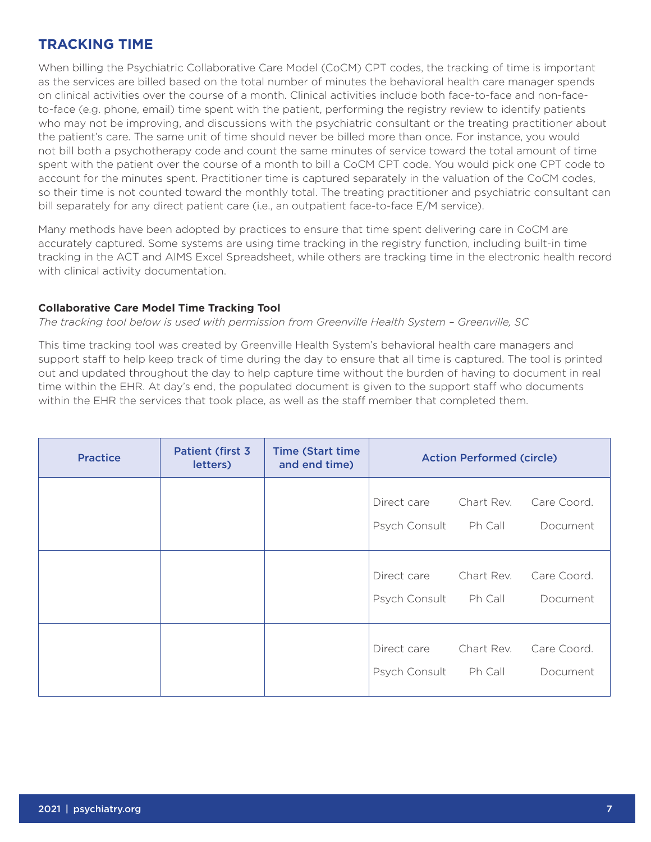### **TRACKING TIME**

When billing the Psychiatric Collaborative Care Model (CoCM) CPT codes, the tracking of time is important as the services are billed based on the total number of minutes the behavioral health care manager spends on clinical activities over the course of a month. Clinical activities include both face-to-face and non-faceto-face (e.g. phone, email) time spent with the patient, performing the registry review to identify patients who may not be improving, and discussions with the psychiatric consultant or the treating practitioner about the patient's care. The same unit of time should never be billed more than once. For instance, you would not bill both a psychotherapy code and count the same minutes of service toward the total amount of time spent with the patient over the course of a month to bill a CoCM CPT code. You would pick one CPT code to account for the minutes spent. Practitioner time is captured separately in the valuation of the CoCM codes, so their time is not counted toward the monthly total. The treating practitioner and psychiatric consultant can bill separately for any direct patient care (i.e., an outpatient face-to-face E/M service).

Many methods have been adopted by practices to ensure that time spent delivering care in CoCM are accurately captured. Some systems are using time tracking in the registry function, including built-in time tracking in the ACT and AIMS Excel Spreadsheet, while others are tracking time in the electronic health record with clinical activity documentation.

#### **Collaborative Care Model Time Tracking Tool**

*The tracking tool below is used with permission from Greenville Health System – Greenville, SC* 

This time tracking tool was created by Greenville Health System's behavioral health care managers and support staff to help keep track of time during the day to ensure that all time is captured. The tool is printed out and updated throughout the day to help capture time without the burden of having to document in real time within the EHR. At day's end, the populated document is given to the support staff who documents within the EHR the services that took place, as well as the staff member that completed them.

| <b>Practice</b> | <b>Patient (first 3)</b><br>letters) | <b>Time (Start time)</b><br>and end time) | <b>Action Performed (circle)</b> |                       |                         |
|-----------------|--------------------------------------|-------------------------------------------|----------------------------------|-----------------------|-------------------------|
|                 |                                      |                                           | Direct care<br>Psych Consult     | Chart Rev.<br>Ph Call | Care Coord.<br>Document |
|                 |                                      |                                           | Direct care<br>Psych Consult     | Chart Rev.<br>Ph Call | Care Coord.<br>Document |
|                 |                                      |                                           | Direct care<br>Psych Consult     | Chart Rev.<br>Ph Call | Care Coord.<br>Document |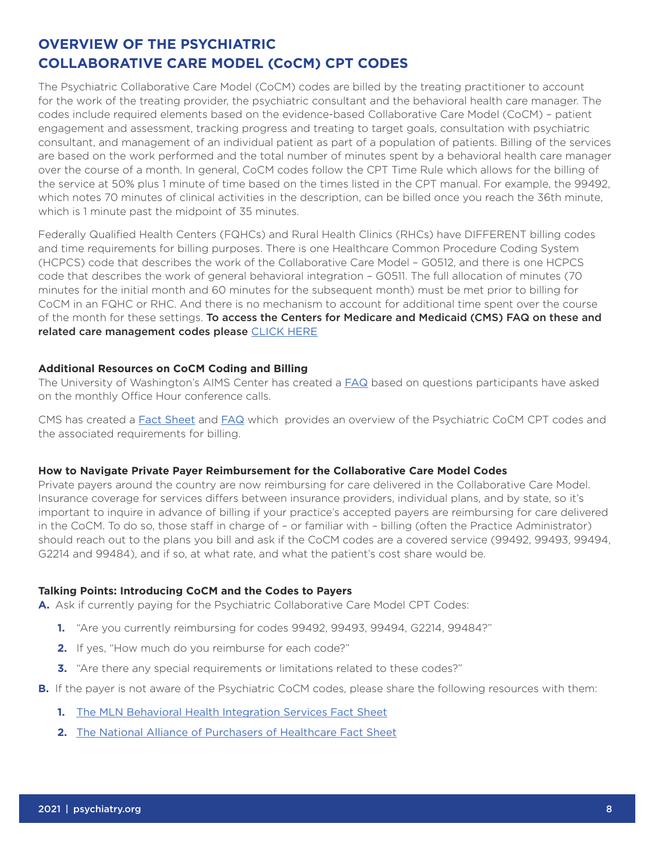## **OVERVIEW OF THE PSYCHIATRIC COLLABORATIVE CARE MODEL (CoCM) CPT CODES**

The Psychiatric Collaborative Care Model (CoCM) codes are billed by the treating practitioner to account for the work of the treating provider, the psychiatric consultant and the behavioral health care manager. The codes include required elements based on the evidence-based Collaborative Care Model (CoCM) – patient engagement and assessment, tracking progress and treating to target goals, consultation with psychiatric consultant, and management of an individual patient as part of a population of patients. Billing of the services are based on the work performed and the total number of minutes spent by a behavioral health care manager over the course of a month. In general, CoCM codes follow the CPT Time Rule which allows for the billing of the service at 50% plus 1 minute of time based on the times listed in the CPT manual. For example, the 99492, which notes 70 minutes of clinical activities in the description, can be billed once you reach the 36th minute, which is 1 minute past the midpoint of 35 minutes.

Federally Qualifed Health Centers (FQHCs) and Rural Health Clinics (RHCs) have DIFFERENT billing codes and time requirements for billing purposes. There is one Healthcare Common Procedure Coding System (HCPCS) code that describes the work of the Collaborative Care Model – G0512, and there is one HCPCS code that describes the work of general behavioral integration – G0511. The full allocation of minutes (70 minutes for the initial month and 60 minutes for the subsequent month) must be met prior to billing for CoCM in an FQHC or RHC. And there is no mechanism to account for additional time spent over the course of the month for these settings. To access the Centers for Medicare and Medicaid (CMS) FAQ on these and related care management codes please CLICK HERE

#### **Additional Resources on CoCM Coding and Billing**

The University of Washington's AIMS Center has created a [FAQ](https://aims.uw.edu/sites/default/files/Finance%20Office%20Hours%20FAQs_062921%20Final.pdf) based on questions participants have asked on the monthly Office Hour conference calls.

CMS has created a [Fact Sheet](https://www.cms.gov/Outreach-and-Education/Medicare-Learning-Network-MLN/MLNProducts/Downloads/BehavioralHealthIntegration.pdf) and [FAQ](https://www.hhs.gov/guidance/sites/default/files/hhs-guidance-documents/bhi_faqs_updated_04172018.pdf) which provides an overview of the Psychiatric CoCM CPT codes and the associated requirements for billing.

#### **How to Navigate Private Payer Reimbursement for the Collaborative Care Model Codes**

Private payers around the country are now reimbursing for care delivered in the Collaborative Care Model. Insurance coverage for services difers between insurance providers, individual plans, and by state, so it's important to inquire in advance of billing if your practice's accepted payers are reimbursing for care delivered in the CoCM. To do so, those staff in charge of - or familiar with - billing (often the Practice Administrator) should reach out to the plans you bill and ask if the CoCM codes are a covered service (99492, 99493, 99494, G2214 and 99484), and if so, at what rate, and what the patient's cost share would be.

#### **Talking Points: Introducing CoCM and the Codes to Payers**

**A.** Ask if currently paying for the Psychiatric Collaborative Care Model CPT Codes:

- **1.** "Are you currently reimbursing for codes 99492, 99493, 99494, G2214, 99484?"
- **2.** If yes, "How much do you reimburse for each code?"
- **3.** "Are there any special requirements or limitations related to these codes?"
- **B.** If the payer is not aware of the Psychiatric CoCM codes, please share the following resources with them:
	- **1.** [The MLN Behavioral Health Integration Services Fact Sheet](https://www.cms.gov/Outreach-and-Education/Medicare-Learning-Network-MLN/MLNProducts/Downloads/BehavioralHealthIntegration.pdf)
	- **2.** [The National Alliance of Purchasers of Healthcare Fact Sheet](https://higherlogicdownload.s3.amazonaws.com/NAHPC/3d988744-80e1-414b-8881-aa2c98621788/UploadedImages/Mental_Health_Accelerating_Action_for_Parity_and_Peak_Performance_Action_Brief_FINAL.pdf)